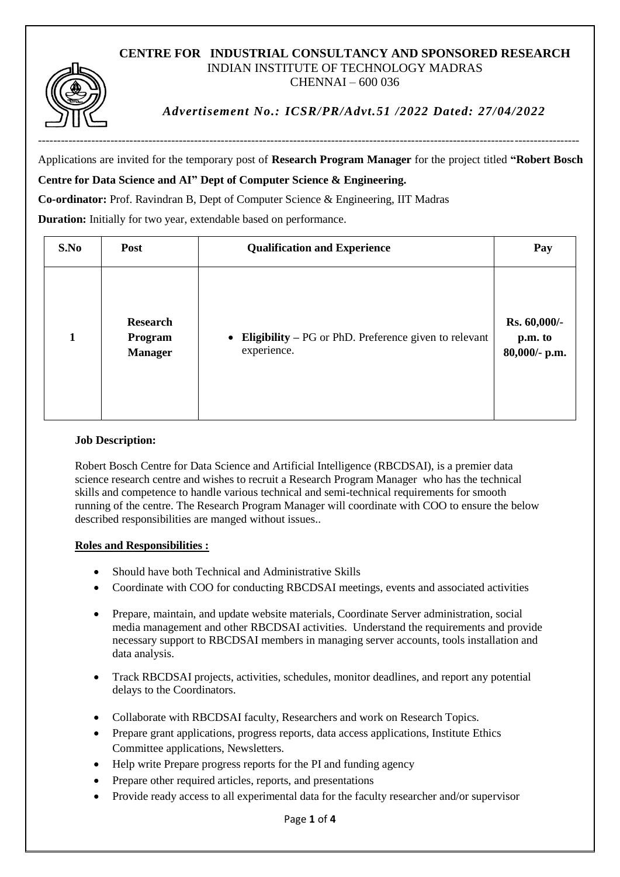#### **CENTRE FOR INDUSTRIAL CONSULTANCY AND SPONSORED RESEARCH** INDIAN INSTITUTE OF TECHNOLOGY MADRAS CHENNAI – 600 036



*Advertisement No.: ICSR/PR/Advt.51 /2022 Dated: 27/04/2022*

Applications are invited for the temporary post of **Research Program Manager** for the project titled **"Robert Bosch Centre for Data Science and AI" Dept of Computer Science & Engineering.**

# **Co-ordinator:** Prof. Ravindran B, Dept of Computer Science & Engineering, IIT Madras

**Duration:** Initially for two year, extendable based on performance.

| S.No         | Post                                         | <b>Qualification and Experience</b>                                    | Pay                                      |
|--------------|----------------------------------------------|------------------------------------------------------------------------|------------------------------------------|
| $\mathbf{1}$ | <b>Research</b><br>Program<br><b>Manager</b> | • Eligibility – PG or PhD. Preference given to relevant<br>experience. | Rs. 60,000/-<br>p.m. to<br>80,000/- p.m. |

### **Job Description:**

Robert Bosch Centre for Data Science and Artificial Intelligence (RBCDSAI), is a premier data science research centre and wishes to recruit a Research Program Manager who has the technical skills and competence to handle various technical and semi-technical requirements for smooth running of the centre. The Research Program Manager will coordinate with COO to ensure the below described responsibilities are manged without issues..

### **Roles and Responsibilities :**

- Should have both Technical and Administrative Skills
- Coordinate with COO for conducting RBCDSAI meetings, events and associated activities
- Prepare, maintain, and update website materials, Coordinate Server administration, social media management and other RBCDSAI activities. Understand the requirements and provide necessary support to RBCDSAI members in managing server accounts, tools installation and data analysis.
- Track RBCDSAI projects, activities, schedules, monitor deadlines, and report any potential delays to the Coordinators.
- Collaborate with RBCDSAI faculty, Researchers and work on Research Topics.
- Prepare grant applications, progress reports, data access applications, Institute Ethics Committee applications, Newsletters.
- Help write Prepare progress reports for the PI and funding agency
- Prepare other required articles, reports, and presentations
- Provide ready access to all experimental data for the faculty researcher and/or supervisor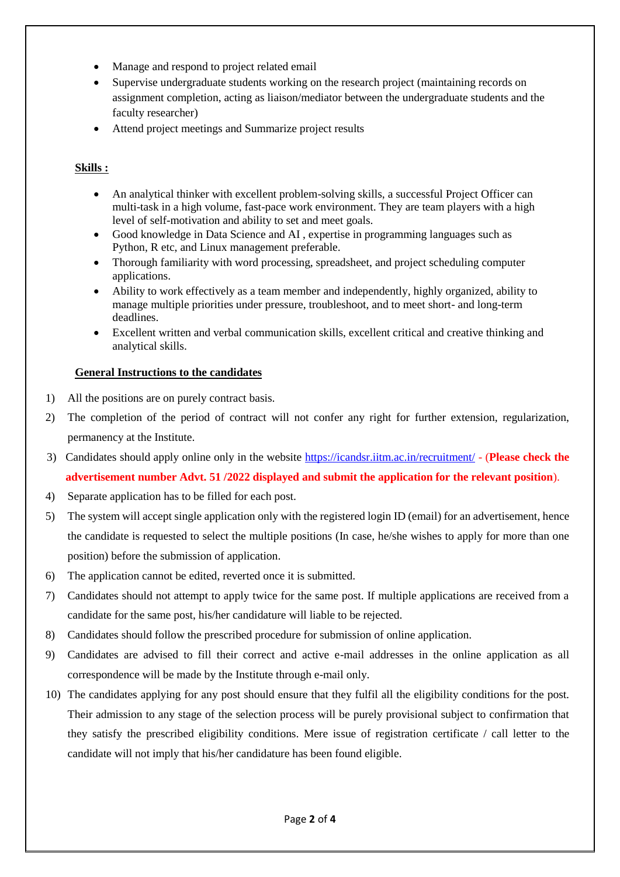- Manage and respond to project related email
- Supervise undergraduate students working on the research project (maintaining records on assignment completion, acting as liaison/mediator between the undergraduate students and the faculty researcher)
- Attend project meetings and Summarize project results

## **Skills :**

- An analytical thinker with excellent problem-solving skills, a successful Project Officer can multi-task in a high volume, fast-pace work environment. They are team players with a high level of self-motivation and ability to set and meet goals.
- Good knowledge in Data Science and AI , expertise in programming languages such as Python, R etc, and Linux management preferable.
- Thorough familiarity with word processing, spreadsheet, and project scheduling computer applications.
- Ability to work effectively as a team member and independently, highly organized, ability to manage multiple priorities under pressure, troubleshoot, and to meet short- and long-term deadlines.
- Excellent written and verbal communication skills, excellent critical and creative thinking and analytical skills.

### **General Instructions to the candidates**

- 1) All the positions are on purely contract basis.
- 2) The completion of the period of contract will not confer any right for further extension, regularization, permanency at the Institute.
- 3) Candidates should apply online only in the website<https://icandsr.iitm.ac.in/recruitment/> (**Please check the advertisement number Advt. 51 /2022 displayed and submit the application for the relevant position**).
- 4) Separate application has to be filled for each post.
- 5) The system will accept single application only with the registered login ID (email) for an advertisement, hence the candidate is requested to select the multiple positions (In case, he/she wishes to apply for more than one position) before the submission of application.
- 6) The application cannot be edited, reverted once it is submitted.
- 7) Candidates should not attempt to apply twice for the same post. If multiple applications are received from a candidate for the same post, his/her candidature will liable to be rejected.
- 8) Candidates should follow the prescribed procedure for submission of online application.
- 9) Candidates are advised to fill their correct and active e-mail addresses in the online application as all correspondence will be made by the Institute through e-mail only.
- 10) The candidates applying for any post should ensure that they fulfil all the eligibility conditions for the post. Their admission to any stage of the selection process will be purely provisional subject to confirmation that they satisfy the prescribed eligibility conditions. Mere issue of registration certificate / call letter to the candidate will not imply that his/her candidature has been found eligible.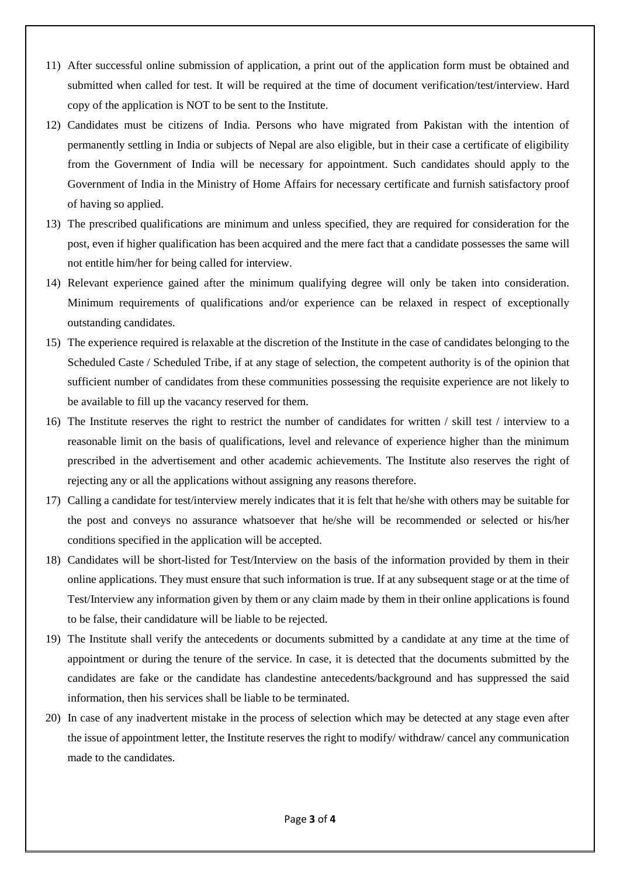- 11) After successful online submission of application, a print out of the application form must be obtained and submitted when called for test. It will be required at the time of document verification/test/interview. Hard copy of the application is NOT to be sent to the Institute.
- 12) Candidates must be citizens of India. Persons who have migrated from Pakistan with the intention of permanently settling in India or subjects of Nepal are also eligible, but in their case a certificate of eligibility from the Government of India will be necessary for appointment. Such candidates should apply to the Government of India in the Ministry of Home Affairs for necessary certificate and furnish satisfactory proof of having so applied.
- 13) The prescribed qualifications are minimum and unless specified, they are required for consideration for the post, even if higher qualification has been acquired and the mere fact that a candidate possesses the same will not entitle him/her for being called for interview.
- 14) Relevant experience gained after the minimum qualifying degree will only be taken into consideration. Minimum requirements of qualifications and/or experience can be relaxed in respect of exceptionally outstanding candidates.
- 15) The experience required is relaxable at the discretion of the Institute in the case of candidates belonging to the Scheduled Caste / Scheduled Tribe, if at any stage of selection, the competent authority is of the opinion that sufficient number of candidates from these communities possessing the requisite experience are not likely to be available to fill up the vacancy reserved for them.
- 16) The Institute reserves the right to restrict the number of candidates for written / skill test / interview to a reasonable limit on the basis of qualifications, level and relevance of experience higher than the minimum prescribed in the advertisement and other academic achievements. The Institute also reserves the right of rejecting any or all the applications without assigning any reasons therefore.
- 17) Calling a candidate for test/interview merely indicates that it is felt that he/she with others may be suitable for the post and conveys no assurance whatsoever that he/she will be recommended or selected or his/her conditions specified in the application will be accepted.
- 18) Candidates will be short-listed for Test/Interview on the basis of the information provided by them in their online applications. They must ensure that such information is true. If at any subsequent stage or at the time of Test/Interview any information given by them or any claim made by them in their online applications is found to be false, their candidature will be liable to be rejected.
- 19) The Institute shall verify the antecedents or documents submitted by a candidate at any time at the time of appointment or during the tenure of the service. In case, it is detected that the documents submitted by the candidates are fake or the candidate has clandestine antecedents/background and has suppressed the said information, then his services shall be liable to be terminated.
- 20) In case of any inadvertent mistake in the process of selection which may be detected at any stage even after the issue of appointment letter, the Institute reserves the right to modify/ withdraw/ cancel any communication made to the candidates.